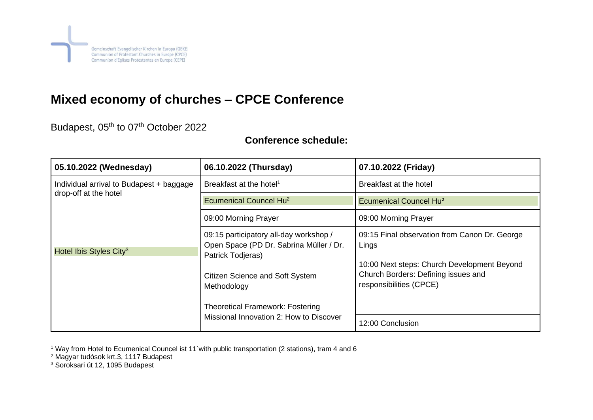

## **Mixed economy of churches – CPCE Conference**

Budapest, 05<sup>th</sup> to 07<sup>th</sup> October 2022

## **Conference schedule:**

| 05.10.2022 (Wednesday)                                                                                   | 06.10.2022 (Thursday)                                                                                                                                           | 07.10.2022 (Friday)                                                                                                                                                     |
|----------------------------------------------------------------------------------------------------------|-----------------------------------------------------------------------------------------------------------------------------------------------------------------|-------------------------------------------------------------------------------------------------------------------------------------------------------------------------|
| Individual arrival to Budapest + baggage<br>drop-off at the hotel<br>Hotel Ibis Styles City <sup>3</sup> | Breakfast at the hotel <sup>1</sup>                                                                                                                             | Breakfast at the hotel                                                                                                                                                  |
|                                                                                                          | Ecumenical Councel Hu <sup>2</sup>                                                                                                                              | <b>Ecumenical Councel Hu<sup>2</sup></b>                                                                                                                                |
|                                                                                                          | 09:00 Morning Prayer                                                                                                                                            | 09:00 Morning Prayer                                                                                                                                                    |
|                                                                                                          | 09:15 participatory all-day workshop /<br>Open Space (PD Dr. Sabrina Müller / Dr.<br>Patrick Todjeras)<br><b>Citizen Science and Soft System</b><br>Methodology | 09:15 Final observation from Canon Dr. George<br>Lings<br>10:00 Next steps: Church Development Beyond<br>Church Borders: Defining issues and<br>responsibilities (CPCE) |
|                                                                                                          | <b>Theoretical Framework: Fostering</b><br>Missional Innovation 2: How to Discover                                                                              | 12:00 Conclusion                                                                                                                                                        |

<sup>1</sup> Way from Hotel to Ecumenical Councel ist 11`with public transportation (2 stations), tram 4 and 6

<sup>2</sup> Magyar tudósok krt.3, 1117 Budapest

<sup>3</sup> Soroksari út 12, 1095 Budapest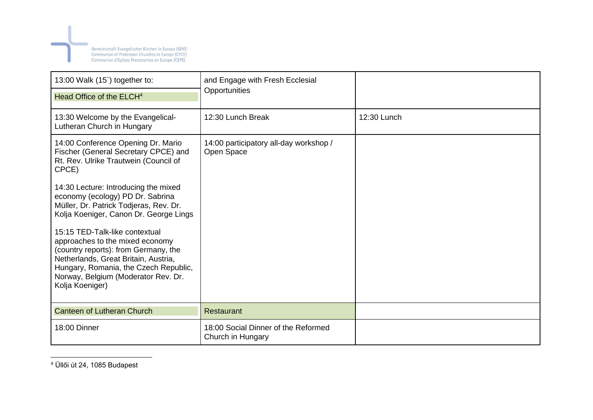

| 13:00 Walk (15) together to:                                                                                                                                                                                                                         | and Engage with Fresh Ecclesial<br>Opportunities         |             |
|------------------------------------------------------------------------------------------------------------------------------------------------------------------------------------------------------------------------------------------------------|----------------------------------------------------------|-------------|
| Head Office of the ELCH <sup>4</sup>                                                                                                                                                                                                                 |                                                          |             |
| 13:30 Welcome by the Evangelical-<br>Lutheran Church in Hungary                                                                                                                                                                                      | 12:30 Lunch Break                                        | 12:30 Lunch |
| 14:00 Conference Opening Dr. Mario<br>Fischer (General Secretary CPCE) and<br>Rt. Rev. Ulrike Trautwein (Council of<br>CPCE)                                                                                                                         | 14:00 participatory all-day workshop /<br>Open Space     |             |
| 14:30 Lecture: Introducing the mixed<br>economy (ecology) PD Dr. Sabrina<br>Müller, Dr. Patrick Todjeras, Rev. Dr.<br>Kolja Koeniger, Canon Dr. George Lings                                                                                         |                                                          |             |
| 15:15 TED-Talk-like contextual<br>approaches to the mixed economy<br>(country reports): from Germany, the<br>Netherlands, Great Britain, Austria,<br>Hungary, Romania, the Czech Republic,<br>Norway, Belgium (Moderator Rev. Dr.<br>Kolja Koeniger) |                                                          |             |
| <b>Canteen of Lutheran Church</b>                                                                                                                                                                                                                    | Restaurant                                               |             |
| 18:00 Dinner                                                                                                                                                                                                                                         | 18:00 Social Dinner of the Reformed<br>Church in Hungary |             |

<sup>4</sup> Üllői út 24, 1085 Budapest